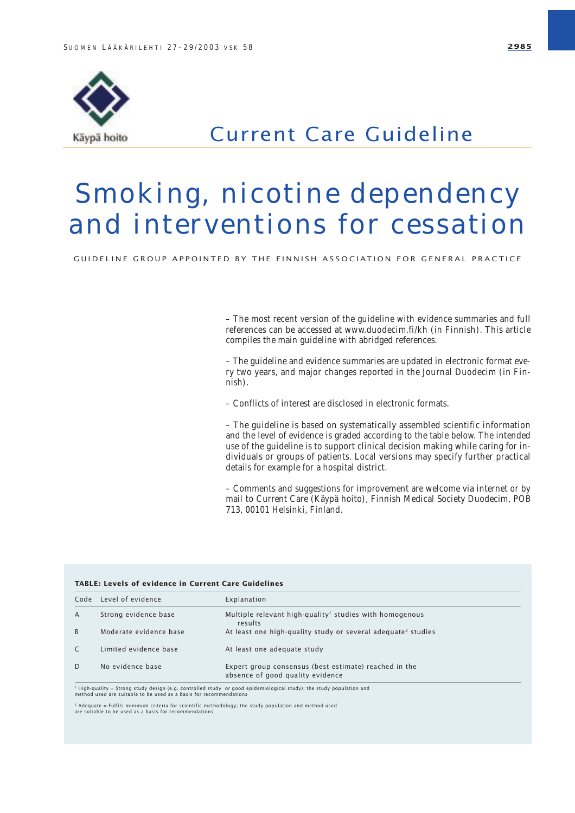

### Current Care Guideline

# Smoking, nicotine dependency and interventions for cessation

GUIDELINE GROUP APPOINTED BY THE FINNISH ASSOCIATION FOR GENERAL PRACTICE

– The most recent version of the guideline with evidence summaries and full references can be accessed at www.duodecim.fi/kh (in Finnish). This article compiles the main guideline with abridged references.

– The guideline and evidence summaries are updated in electronic format every two years, and major changes reported in the Journal Duodecim (in Finnish).

– Conflicts of interest are disclosed in electronic formats.

– The guideline is based on systematically assembled scientific information and the level of evidence is graded according to the table below. The intended use of the guideline is to support clinical decision making while caring for individuals or groups of patients. Local versions may specify further practical details for example for a hospital district.

– Comments and suggestions for improvement are welcome via internet or by mail to Current Care (Käypä hoito), Finnish Medical Society Duodecim, POB 713, 00101 Helsinki, Finland.

| Code | Level of evidence      | Explanation                                                                               |
|------|------------------------|-------------------------------------------------------------------------------------------|
| A    | Strong evidence base   | Multiple relevant high-quality <sup>1</sup> studies with homogenous<br>results            |
| B    | Moderate evidence base | At least one high-quality study or several adequate <sup>2</sup> studies                  |
|      | Limited evidence base  | At least one adequate study                                                               |
| D    | No evidence base       | Expert group consensus (best estimate) reached in the<br>absence of good quality evidence |

<sup>2</sup> Adequate = Fulfils minimum criteria for scientific methodology; the study population and method used are suitable to be used as a basis for recommendations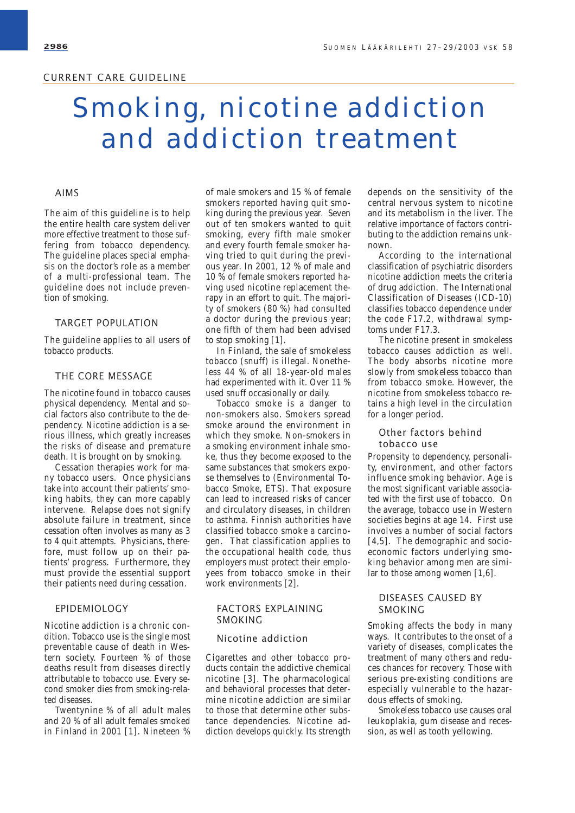## Smoking, nicotine addiction and addiction treatment

#### AIMS

The aim of this guideline is to help the entire health care system deliver more effective treatment to those suffering from tobacco dependency. The guideline places special emphasis on the doctor's role as a member of a multi-professional team. The guideline does not include prevention of smoking.

#### TARGET POPULATION

The guideline applies to all users of tobacco products.

#### THE CORE MESSAGE

The nicotine found in tobacco causes physical dependency. Mental and social factors also contribute to the dependency. Nicotine addiction is a serious illness, which greatly increases the risks of disease and premature death. It is brought on by smoking.

Cessation therapies work for many tobacco users. Once physicians take into account their patients' smoking habits, they can more capably intervene. Relapse does not signify absolute failure in treatment, since cessation often involves as many as 3 to 4 quit attempts. Physicians, therefore, must follow up on their patients' progress. Furthermore, they must provide the essential support their patients need during cessation.

#### EPIDEMIOLOGY

Nicotine addiction is a chronic condition. Tobacco use is the single most preventable cause of death in Western society. Fourteen % of those deaths result from diseases directly attributable to tobacco use. Every second smoker dies from smoking-related diseases.

Twentynine % of all adult males and 20 % of all adult females smoked in Finland in 2001 [1]. Nineteen %

of male smokers and 15 % of female smokers reported having quit smoking during the previous year. Seven out of ten smokers wanted to quit smoking, every fifth male smoker and every fourth female smoker having tried to quit during the previous year. In 2001, 12 % of male and 10 % of female smokers reported having used nicotine replacement therapy in an effort to quit. The majority of smokers (80 %) had consulted a doctor during the previous year; one fifth of them had been advised to stop smoking [1].

In Finland, the sale of smokeless tobacco (snuff) is illegal. Nonetheless 44 % of all 18-year-old males had experimented with it. Over 11 % used snuff occasionally or daily.

Tobacco smoke is a danger to non-smokers also. Smokers spread smoke around the environment in which they smoke. Non-smokers in a smoking environment inhale smoke, thus they become exposed to the same substances that smokers expose themselves to (Environmental Tobacco Smoke, ETS). That exposure can lead to increased risks of cancer and circulatory diseases, in children to asthma. Finnish authorities have classified tobacco smoke a carcinogen. That classification applies to the occupational health code, thus employers must protect their employees from tobacco smoke in their work environments [2].

#### FACTORS EXPLAINING SMOKING

#### Nicotine addiction

Cigarettes and other tobacco products contain the addictive chemical nicotine [3]. The pharmacological and behavioral processes that determine nicotine addiction are similar to those that determine other substance dependencies. Nicotine addiction develops quickly. Its strength depends on the sensitivity of the central nervous system to nicotine and its metabolism in the liver. The relative importance of factors contributing to the addiction remains unknown.

According to the international classification of psychiatric disorders nicotine addiction meets the criteria of drug addiction. The International Classification of Diseases (ICD-10) classifies tobacco dependence under the code F17.2, withdrawal symptoms under F17.3.

The nicotine present in smokeless tobacco causes addiction as well. The body absorbs nicotine more slowly from smokeless tobacco than from tobacco smoke. However, the nicotine from smokeless tobacco retains a high level in the circulation for a longer period.

#### Other factors behind tobacco use

Propensity to dependency, personality, environment, and other factors influence smoking behavior. Age is the most significant variable associated with the first use of tobacco. On the average, tobacco use in Western societies begins at age 14. First use involves a number of social factors [4,5]. The demographic and socioeconomic factors underlying smoking behavior among men are similar to those among women [1,6].

#### DISEASES CAUSED BY SMOKING

Smoking affects the body in many ways. It contributes to the onset of a variety of diseases, complicates the treatment of many others and reduces chances for recovery. Those with serious pre-existing conditions are especially vulnerable to the hazardous effects of smoking.

Smokeless tobacco use causes oral leukoplakia, gum disease and recession, as well as tooth yellowing.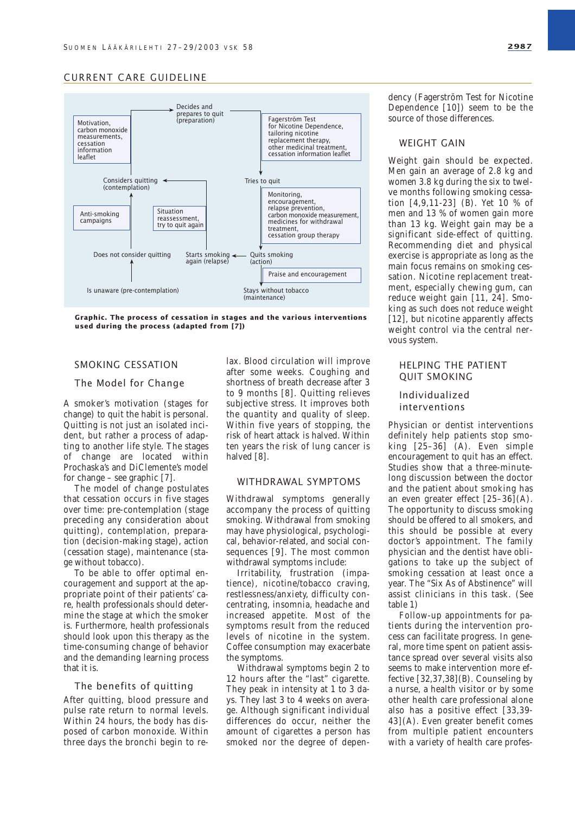

**Graphic. The process of cessation in stages and the various interventions used during the process (adapted from [7])**

#### SMOKING CESSATION

#### The Model for Change

A smoker's motivation (stages for change) to quit the habit is personal. Quitting is not just an isolated incident, but rather a process of adapting to another life style. The stages of change are located within Prochaska's and DiClemente's model for change – see graphic [7].

The model of change postulates that cessation occurs in five stages over time: pre-contemplation (stage preceding any consideration about quitting), contemplation, preparation (decision-making stage), action (cessation stage), maintenance (stage without tobacco).

To be able to offer optimal encouragement and support at the appropriate point of their patients' care, health professionals should determine the stage at which the smoker is. Furthermore, health professionals should look upon this therapy as the time-consuming change of behavior and the demanding learning process that it is.

#### The benefits of quitting

After quitting, blood pressure and pulse rate return to normal levels. Within 24 hours, the body has disposed of carbon monoxide. Within three days the bronchi begin to re-

lax. Blood circulation will improve after some weeks. Coughing and shortness of breath decrease after 3 to 9 months [8]. Quitting relieves subjective stress. It improves both the quantity and quality of sleep. Within five years of stopping, the risk of heart attack is halved. Within ten years the risk of lung cancer is halved [8].

#### WITHDRAWAL SYMPTOMS

Withdrawal symptoms generally accompany the process of quitting smoking. Withdrawal from smoking may have physiological, psychological, behavior-related, and social consequences [9]. The most common withdrawal symptoms include:

Irritability, frustration (impatience), nicotine/tobacco craving, restlessness/anxiety, difficulty concentrating, insomnia, headache and increased appetite. Most of the symptoms result from the reduced levels of nicotine in the system. Coffee consumption may exacerbate the symptoms.

Withdrawal symptoms begin 2 to 12 hours after the "last" cigarette. They peak in intensity at 1 to 3 days. They last 3 to 4 weeks on average. Although significant individual differences do occur, neither the amount of cigarettes a person has smoked nor the degree of dependency (Fagerström Test for Nicotine Dependence [10]) seem to be the source of those differences.

#### WEIGHT GAIN

Weight gain should be expected. Men gain an average of 2.8 kg and women 3.8 kg during the six to twelve months following smoking cessation [4,9,11-23] (B). Yet 10 % of men and 13 % of women gain more than 13 kg. Weight gain may be a significant side-effect of quitting. Recommending diet and physical exercise is appropriate as long as the main focus remains on smoking cessation. Nicotine replacement treatment, especially chewing gum, can reduce weight gain [11, 24]. Smoking as such does not reduce weight [12], but nicotine apparently affects weight control via the central nervous system.

#### HELPING THE PATIENT QUIT SMOKING

#### Individualized interventions

Physician or dentist interventions definitely help patients stop smoking [25–36] (A). Even simple encouragement to quit has an effect. Studies show that a three-minutelong discussion between the doctor and the patient about smoking has an even greater effect [25–36](A). The opportunity to discuss smoking should be offered to all smokers, and this should be possible at every doctor's appointment. The family physician and the dentist have obligations to take up the subject of smoking cessation at least once a year. The "Six As of Abstinence" will assist clinicians in this task. (See table 1)

Follow-up appointments for patients during the intervention process can facilitate progress. In general, more time spent on patient assistance spread over several visits also seems to make intervention more effective  $[32,37,38]$ (B). Counseling by a nurse, a health visitor or by some other health care professional alone also has a positive effect [33,39- 43](A). Even greater benefit comes from multiple patient encounters with a variety of health care profes-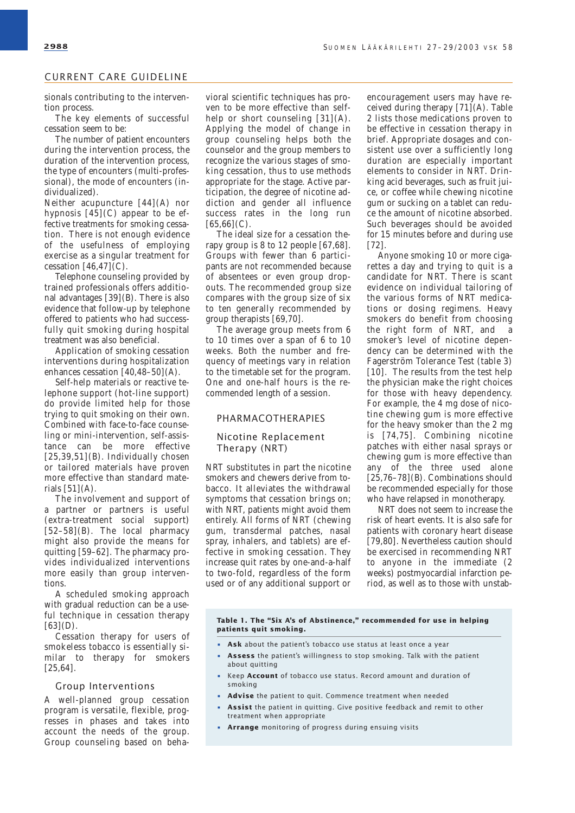sionals contributing to the intervention process.

The key elements of successful cessation seem to be:

The number of patient encounters during the intervention process, the duration of the intervention process, the type of encounters (multi-professional), the mode of encounters (individualized).

Neither acupuncture [44](A) nor hypnosis  $[45]$ (C) appear to be effective treatments for smoking cessation. There is not enough evidence of the usefulness of employing exercise as a singular treatment for cessation  $[46, 47]$ (C).

Telephone counseling provided by trained professionals offers additional advantages  $[39](B)$ . There is also evidence that follow-up by telephone offered to patients who had successfully quit smoking during hospital treatment was also beneficial.

Application of smoking cessation interventions during hospitalization enhances cessation  $\overline{[40,48-50]}(A)$ .

Self-help materials or reactive telephone support (hot-line support) do provide limited help for those trying to quit smoking on their own. Combined with face-to-face counseling or mini-intervention, self-assistance can be more effective  $[25,39,51]$ (B). Individually chosen or tailored materials have proven more effective than standard materials  $[51](A)$ .

The involvement and support of a partner or partners is useful (extra-treatment social support)  $[52-58]$ (B). The local pharmacy might also provide the means for quitting [59–62]. The pharmacy provides individualized interventions more easily than group interventions.

A scheduled smoking approach with gradual reduction can be a useful technique in cessation therapy  $[63]$ (D).

Cessation therapy for users of smokeless tobacco is essentially similar to therapy for smokers [25,64].

#### Group Interventions

A well-planned group cessation program is versatile, flexible, progresses in phases and takes into account the needs of the group. Group counseling based on behavioral scientific techniques has proven to be more effective than selfhelp or short counseling  $[31](A)$ . Applying the model of change in group counseling helps both the counselor and the group members to recognize the various stages of smoking cessation, thus to use methods appropriate for the stage. Active participation, the degree of nicotine addiction and gender all influence success rates in the long run  $[65,66]$ (C).

The ideal size for a cessation therapy group is 8 to 12 people [67,68]. Groups with fewer than 6 participants are not recommended because of absentees or even group dropouts. The recommended group size compares with the group size of six to ten generally recommended by group therapists [69,70].

The average group meets from 6 to 10 times over a span of 6 to 10 weeks. Both the number and frequency of meetings vary in relation to the timetable set for the program. One and one-half hours is the recommended length of a session.

#### PHARMACOTHERAPIES

#### Nicotine Replacement Therapy (NRT)

NRT substitutes in part the nicotine smokers and chewers derive from tobacco. It alleviates the withdrawal symptoms that cessation brings on; with NRT, patients might avoid them entirely. All forms of NRT (chewing gum, transdermal patches, nasal spray, inhalers, and tablets) are effective in smoking cessation. They increase quit rates by one-and-a-half to two-fold, regardless of the form used or of any additional support or

encouragement users may have received during therapy [71](A). Table 2 lists those medications proven to be effective in cessation therapy in brief. Appropriate dosages and consistent use over a sufficiently long duration are especially important elements to consider in NRT. Drinking acid beverages, such as fruit juice, or coffee while chewing nicotine gum or sucking on a tablet can reduce the amount of nicotine absorbed. Such beverages should be avoided for 15 minutes before and during use [72].

Anyone smoking 10 or more cigarettes a day and trying to quit is a candidate for NRT. There is scant evidence on individual tailoring of the various forms of NRT medications or dosing regimens. Heavy smokers do benefit from choosing the right form of NRT, and a smoker's level of nicotine dependency can be determined with the Fagerström Tolerance Test (table 3) [10]. The results from the test help the physician make the right choices for those with heavy dependency. For example, the 4 mg dose of nicotine chewing gum is more effective for the heavy smoker than the 2 mg is [74,75]. Combining nicotine patches with either nasal sprays or chewing gum is more effective than any of the three used alone  $[25,76-78]$  $(B)$ . Combinations should be recommended especially for those who have relapsed in monotherapy.

NRT does not seem to increase the risk of heart events. It is also safe for patients with coronary heart disease [79,80]. Nevertheless caution should be exercised in recommending NRT to anyone in the immediate (2 weeks) postmyocardial infarction period, as well as to those with unstab-

**Table 1. The "Six A's of Abstinence," recommended for use in helping patients quit smoking.**

- **Ask** about the patient's tobacco use status at least once a year
- **Assess** the patient's willingness to stop smoking. Talk with the patient about quitting
- Keep **Account** of tobacco use status. Record amount and duration of smoking
- **Advise** the patient to quit. Commence treatment when needed
- **Assist** the patient in quitting. Give positive feedback and remit to other treatment when appropriate
- **Arrange** monitoring of progress during ensuing visits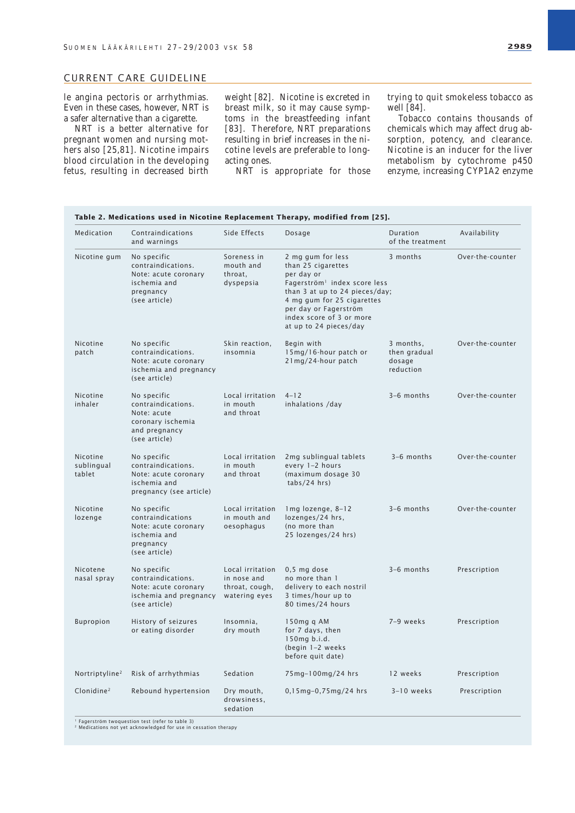le angina pectoris or arrhythmias. Even in these cases, however, NRT is a safer alternative than a cigarette.

NRT is a better alternative for pregnant women and nursing mothers also [25,81]. Nicotine impairs blood circulation in the developing fetus, resulting in decreased birth

weight [82]. Nicotine is excreted in breast milk, so it may cause symptoms in the breastfeeding infant [83]. Therefore, NRT preparations resulting in brief increases in the nicotine levels are preferable to longacting ones.

NRT is appropriate for those

trying to quit smokeless tobacco as well [84].

Tobacco contains thousands of chemicals which may affect drug absorption, potency, and clearance. Nicotine is an inducer for the liver metabolism by cytochrome p450 enzyme, increasing CYP1A2 enzyme

| Medication<br>Contraindications  |                                                                                                         | Side Effects                                                       | Dosage                                                                                                                                                                                                                                           | Duration                                         | Availability     |
|----------------------------------|---------------------------------------------------------------------------------------------------------|--------------------------------------------------------------------|--------------------------------------------------------------------------------------------------------------------------------------------------------------------------------------------------------------------------------------------------|--------------------------------------------------|------------------|
|                                  | and warnings                                                                                            |                                                                    |                                                                                                                                                                                                                                                  | of the treatment                                 |                  |
| Nicotine gum                     | No specific<br>contraindications.<br>Note: acute coronary<br>ischemia and<br>pregnancy<br>(see article) | Soreness in<br>mouth and<br>throat,<br>dyspepsia                   | 2 mg gum for less<br>than 25 cigarettes<br>per day or<br>Fagerström <sup>1</sup> index score less<br>than 3 at up to 24 pieces/day;<br>4 mg gum for 25 cigarettes<br>per day or Fagerström<br>index score of 3 or more<br>at up to 24 pieces/day | 3 months                                         | Over-the-counter |
| Nicotine<br>patch                | No specific<br>contraindications.<br>Note: acute coronary<br>ischemia and pregnancy<br>(see article)    | Skin reaction,<br>insomnia                                         | Begin with<br>15mg/16-hour patch or<br>21mg/24-hour patch                                                                                                                                                                                        | 3 months,<br>then gradual<br>dosage<br>reduction | Over-the-counter |
| Nicotine<br>inhaler              | No specific<br>contraindications.<br>Note: acute<br>coronary ischemia<br>and pregnancy<br>(see article) | Local irritation<br>in mouth<br>and throat                         | $4 - 12$<br>inhalations /day                                                                                                                                                                                                                     | 3-6 months                                       | Over-the-counter |
| Nicotine<br>sublingual<br>tablet | No specific<br>contraindications.<br>Note: acute coronary<br>ischemia and<br>pregnancy (see article)    | Local irritation<br>in mouth<br>and throat                         | 2mg sublingual tablets<br>every 1-2 hours<br>(maximum dosage 30<br>tabs/24 hrs)                                                                                                                                                                  | $3-6$ months                                     | Over-the-counter |
| Nicotine<br>lozenge              | No specific<br>contraindications<br>Note: acute coronary<br>ischemia and<br>pregnancy<br>(see article)  | Local irritation<br>in mouth and<br>oesophagus                     | 1mg lozenge, 8-12<br>lozenges/24 hrs,<br>(no more than<br>25 lozenges/24 hrs)                                                                                                                                                                    | 3-6 months                                       | Over-the-counter |
| Nicotene<br>nasal spray          | No specific<br>contraindications.<br>Note: acute coronary<br>ischemia and pregnancy<br>(see article)    | Local irritation<br>in nose and<br>throat, cough,<br>watering eyes | $0,5$ mg dose<br>no more than 1<br>delivery to each nostril<br>3 times/hour up to<br>80 times/24 hours                                                                                                                                           | $3-6$ months                                     | Prescription     |
| <b>Bupropion</b>                 | History of seizures<br>or eating disorder                                                               | Insomnia,<br>dry mouth                                             | 150mg q AM<br>for 7 days, then<br>150mg b.i.d.<br>(begin $1-2$ weeks<br>before quit date)                                                                                                                                                        | 7-9 weeks                                        | Prescription     |
| Nortriptyline <sup>2</sup>       | Risk of arrhythmias                                                                                     | Sedation                                                           | 75mg-100mg/24 hrs                                                                                                                                                                                                                                | 12 weeks                                         | Prescription     |
| Clonidine <sup>2</sup>           | Rebound hypertension                                                                                    | Dry mouth,<br>drowsiness,<br>sedation                              | 0,15mg-0,75mg/24 hrs                                                                                                                                                                                                                             | $3-10$ weeks                                     | Prescription     |

<sup>1</sup> Fagerström twoquestion test (refer to table 3)<br><sup>2</sup> Medications not yet acknowledged for use in cessation therapy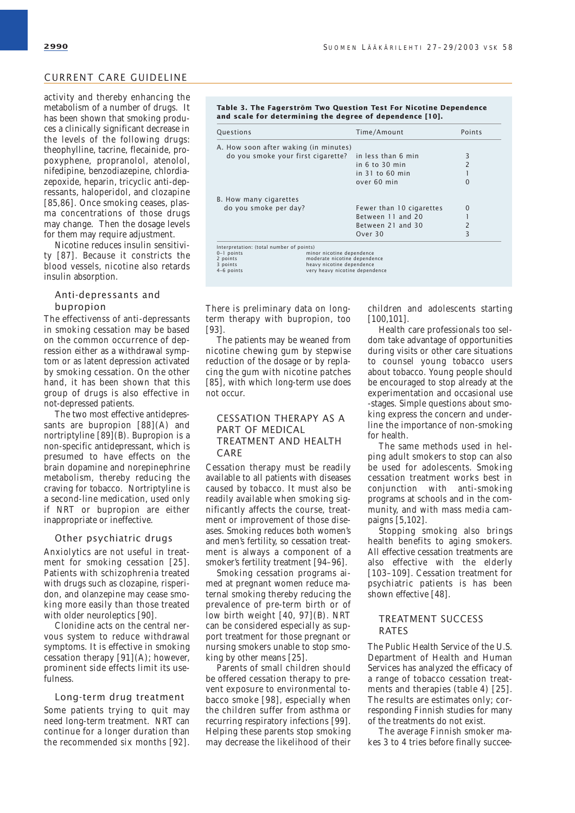activity and thereby enhancing the metabolism of a number of drugs. It has been shown that smoking produces a clinically significant decrease in the levels of the following drugs: theophylline, tacrine, flecainide, propoxyphene, propranolol, atenolol, nifedipine, benzodiazepine, chlordiazepoxide, heparin, tricyclic anti-depressants, haloperidol, and clozapine [85,86]. Once smoking ceases, plasma concentrations of those drugs may change. Then the dosage levels for them may require adjustment.

Nicotine reduces insulin sensitivity [87]. Because it constricts the blood vessels, nicotine also retards insulin absorption.

#### Anti-depressants and bupropion

The effectivenss of anti-depressants in smoking cessation may be based on the common occurrence of depression either as a withdrawal symptom or as latent depression activated by smoking cessation. On the other hand, it has been shown that this group of drugs is also effective in not-depressed patients.

The two most effective antidepressants are bupropion [88](A) and nortriptyline [89](B). Bupropion is a non-specific antidepressant, which is presumed to have effects on the brain dopamine and norepinephrine metabolism, thereby reducing the craving for tobacco. Nortriptyline is a second-line medication, used only if NRT or bupropion are either inappropriate or ineffective.

#### Other psychiatric drugs

Anxiolytics are not useful in treatment for smoking cessation [25]. Patients with schizophrenia treated with drugs such as clozapine, risperidon, and olanzepine may cease smoking more easily than those treated with older neuroleptics [90].

Clonidine acts on the central nervous system to reduce withdrawal symptoms. It is effective in smoking cessation therapy  $[91](A)$ ; however, prominent side effects limit its usefulness.

#### Long-term drug treatment

Some patients trying to quit may need long-term treatment. NRT can continue for a longer duration than the recommended six months [92].

#### **Table 3. The Fagerström Two Question Test For Nicotine Dependence and scale for determining the degree of dependence [10].**

| Questions                             | Time/Amount              | Points       |
|---------------------------------------|--------------------------|--------------|
| A. How soon after waking (in minutes) |                          |              |
| do you smoke your first cigarette?    | in less than 6 min       | 3            |
|                                       | in 6 to 30 min           |              |
|                                       | $in$ 31 to 60 min        |              |
|                                       | over 60 min              |              |
| B. How many cigarettes                |                          |              |
| do you smoke per day?                 | Fewer than 10 cigarettes | $\mathbf{O}$ |
|                                       | Between 11 and 20        |              |
|                                       | Between 21 and 30        |              |
|                                       |                          | 3            |

There is preliminary data on longterm therapy with bupropion, too [93].

The patients may be weaned from nicotine chewing gum by stepwise reduction of the dosage or by replacing the gum with nicotine patches [85], with which long-term use does not occur.

#### CESSATION THERAPY AS A PART OF MEDICAL TREATMENT AND HEALTH CARE

Cessation therapy must be readily available to all patients with diseases caused by tobacco. It must also be readily available when smoking significantly affects the course, treatment or improvement of those diseases. Smoking reduces both women's and men's fertility, so cessation treatment is always a component of a smoker's fertility treatment [94–96].

Smoking cessation programs aimed at pregnant women reduce maternal smoking thereby reducing the prevalence of pre-term birth or of low birth weight [40, 97](B). NRT can be considered especially as support treatment for those pregnant or nursing smokers unable to stop smoking by other means [25].

Parents of small children should be offered cessation therapy to prevent exposure to environmental tobacco smoke [98], especially when the children suffer from asthma or recurring respiratory infections [99]. Helping these parents stop smoking may decrease the likelihood of their children and adolescents starting [100,101].

Health care professionals too seldom take advantage of opportunities during visits or other care situations to counsel young tobacco users about tobacco. Young people should be encouraged to stop already at the experimentation and occasional use -stages. Simple questions about smoking express the concern and underline the importance of non-smoking for health.

The same methods used in helping adult smokers to stop can also be used for adolescents. Smoking cessation treatment works best in conjunction with anti-smoking programs at schools and in the community, and with mass media campaigns [5,102].

Stopping smoking also brings health benefits to aging smokers. All effective cessation treatments are also effective with the elderly [103–109]. Cessation treatment for psychiatric patients is has been shown effective [48].

#### TREATMENT SUCCESS RATES

The Public Health Service of the U.S. Department of Health and Human Services has analyzed the efficacy of a range of tobacco cessation treatments and therapies (table 4) [25]. The results are estimates only; corresponding Finnish studies for many of the treatments do not exist.

The average Finnish smoker makes 3 to 4 tries before finally succee-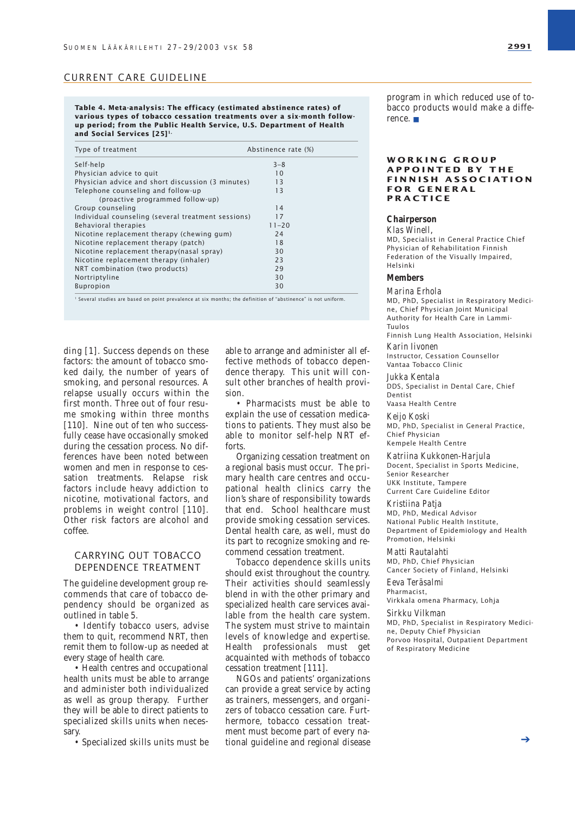**Table 4. Meta-analysis: The efficacy (estimated abstinence rates) of various types of tobacco cessation treatments over a six-month followup period; from the Public Health Service, U.S. Department of Health and Social Services [25]1.**

| Type of treatment                                  | Abstinence rate (%) |
|----------------------------------------------------|---------------------|
| Self-help                                          | $3 - 8$             |
| Physician advice to quit                           | 10                  |
| Physician advice and short discussion (3 minutes)  | 13                  |
| Telephone counseling and follow-up                 | 13                  |
| (proactive programmed follow-up)                   |                     |
| Group counseling                                   | 14                  |
| Individual counseling (several treatment sessions) | 17                  |
| Behavioral therapies                               | $11 - 20$           |
| Nicotine replacement therapy (chewing gum)         | 24                  |
| Nicotine replacement therapy (patch)               | 18                  |
| Nicotine replacement therapy(nasal spray)          | 30                  |
| Nicotine replacement therapy (inhaler)             | 23                  |
| NRT combination (two products)                     | 29                  |
| Nortriptyline                                      | 30                  |
| <b>Bupropion</b>                                   | 30                  |

<sup>1</sup> Several studies are based on point prevalence at six months; the definition of "abstinence" is not uniform.

ding [1]. Success depends on these factors: the amount of tobacco smoked daily, the number of years of smoking, and personal resources. A relapse usually occurs within the first month. Three out of four resume smoking within three months [110]. Nine out of ten who successfully cease have occasionally smoked during the cessation process. No differences have been noted between women and men in response to cessation treatments. Relapse risk factors include heavy addiction to nicotine, motivational factors, and problems in weight control [110]. Other risk factors are alcohol and coffee.

#### CARRYING OUT TOBACCO DEPENDENCE TREATMENT

The guideline development group recommends that care of tobacco dependency should be organized as outlined in table 5.

• Identify tobacco users, advise them to quit, recommend NRT, then remit them to follow-up as needed at every stage of health care.

• Health centres and occupational health units must be able to arrange and administer both individualized as well as group therapy. Further they will be able to direct patients to specialized skills units when necessary.

• Specialized skills units must be

able to arrange and administer all effective methods of tobacco dependence therapy. This unit will consult other branches of health provision.

• Pharmacists must be able to explain the use of cessation medications to patients. They must also be able to monitor self-help NRT efforts.

Organizing cessation treatment on a regional basis must occur. The primary health care centres and occupational health clinics carry the lion's share of responsibility towards that end. School healthcare must provide smoking cessation services. Dental health care, as well, must do its part to recognize smoking and recommend cessation treatment.

Tobacco dependence skills units should exist throughout the country. Their activities should seamlessly blend in with the other primary and specialized health care services available from the health care system. The system must strive to maintain levels of knowledge and expertise. Health professionals must get acquainted with methods of tobacco cessation treatment [111].

NGOs and patients' organizations can provide a great service by acting as trainers, messengers, and organizers of tobacco cessation care. Furthermore, tobacco cessation treatment must become part of every national guideline and regional disease

program in which reduced use of tobacco products would make a difference. ■

#### **WORKING GROUP APPOINTED BY THE FINNISH ASSOCIATION FOR GENERAL PRACTICE**

#### **Chairperson**

*Klas Winell*, MD, Specialist in General Practice Chief Physician of Rehabilitation Finnish Federation of the Visually Impaired, Helsinki

#### **Members**

*Marina Erhola*

MD, PhD, Specialist in Respiratory Medicine, Chief Physician Joint Municipal Authority for Health Care in Lammi-Tuulos

Finnish Lung Health Association, Helsinki *Karin Iivonen*

#### Instructor, Cessation Counsellor

Vantaa Tobacco Clinic

*Jukka Kentala*

DDS, Specialist in Dental Care, Chief Dentist

Vaasa Health Centre

*Keijo Koski* MD, PhD, Specialist in General Practice, Chief Physician Kempele Health Centre

#### *Katriina Kukkonen-Harjula*

Docent, Specialist in Sports Medicine, Senior Researcher UKK Institute, Tampere Current Care Guideline Editor

#### *Kristiina Patja*

MD, PhD, Medical Advisor National Public Health Institute, Department of Epidemiology and Health Promotion, Helsinki

#### *Matti Rautalahti*

MD, PhD, Chief Physician Cancer Society of Finland, Helsinki

*Eeva Teräsalmi* Pharmacist,

Virkkala omena Pharmacy, Lohja

#### *Sirkku Vilkman*

MD, PhD, Specialist in Respiratory Medicine, Deputy Chief Physician Porvoo Hospital, Outpatient Department of Respiratory Medicine

➔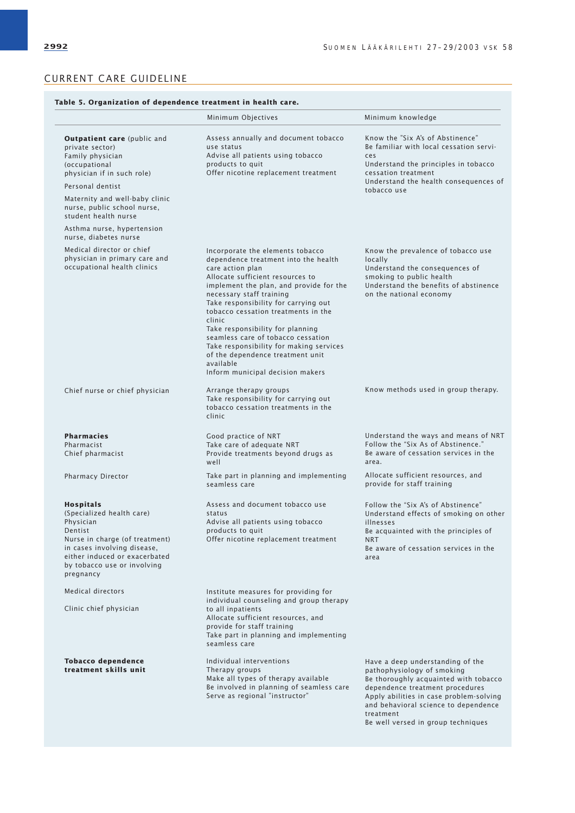|                                                                                                                                                                                                              | Minimum Objectives                                                                                                                                                                                                                                                                                                                                                                                                                                                                                         | Minimum knowledge                                                                                                                                                                                                                                                                |  |
|--------------------------------------------------------------------------------------------------------------------------------------------------------------------------------------------------------------|------------------------------------------------------------------------------------------------------------------------------------------------------------------------------------------------------------------------------------------------------------------------------------------------------------------------------------------------------------------------------------------------------------------------------------------------------------------------------------------------------------|----------------------------------------------------------------------------------------------------------------------------------------------------------------------------------------------------------------------------------------------------------------------------------|--|
| <b>Outpatient care</b> (public and<br>private sector)<br>Family physician<br>(occupational<br>physician if in such role)<br>Personal dentist                                                                 | Assess annually and document tobacco<br>use status<br>Advise all patients using tobacco<br>products to quit<br>Offer nicotine replacement treatment                                                                                                                                                                                                                                                                                                                                                        | Know the "Six A's of Abstinence"<br>Be familiar with local cessation servi-<br>ces<br>Understand the principles in tobacco<br>cessation treatment<br>Understand the health consequences of<br>tobacco use                                                                        |  |
| Maternity and well-baby clinic<br>nurse, public school nurse,<br>student health nurse                                                                                                                        |                                                                                                                                                                                                                                                                                                                                                                                                                                                                                                            |                                                                                                                                                                                                                                                                                  |  |
| Asthma nurse, hypertension<br>nurse, diabetes nurse                                                                                                                                                          |                                                                                                                                                                                                                                                                                                                                                                                                                                                                                                            |                                                                                                                                                                                                                                                                                  |  |
| Medical director or chief<br>physician in primary care and<br>occupational health clinics                                                                                                                    | Incorporate the elements tobacco<br>dependence treatment into the health<br>care action plan<br>Allocate sufficient resources to<br>implement the plan, and provide for the<br>necessary staff training<br>Take responsibility for carrying out<br>tobacco cessation treatments in the<br>clinic<br>Take responsibility for planning<br>seamless care of tobacco cessation<br>Take responsibility for making services<br>of the dependence treatment unit<br>available<br>Inform municipal decision makers | Know the prevalence of tobacco use<br>locally<br>Understand the consequences of<br>smoking to public health<br>Understand the benefits of abstinence<br>on the national economy                                                                                                  |  |
| Chief nurse or chief physician                                                                                                                                                                               | Arrange therapy groups<br>Take responsibility for carrying out<br>tobacco cessation treatments in the<br>clinic                                                                                                                                                                                                                                                                                                                                                                                            | Know methods used in group therapy.                                                                                                                                                                                                                                              |  |
| <b>Pharmacies</b><br>Pharmacist<br>Chief pharmacist                                                                                                                                                          | Good practice of NRT<br>Take care of adequate NRT<br>Provide treatments beyond drugs as<br>well                                                                                                                                                                                                                                                                                                                                                                                                            | Understand the ways and means of NRT<br>Follow the "Six As of Abstinence."<br>Be aware of cessation services in the<br>area.                                                                                                                                                     |  |
| Pharmacy Director                                                                                                                                                                                            | Take part in planning and implementing<br>seamless care                                                                                                                                                                                                                                                                                                                                                                                                                                                    | Allocate sufficient resources, and<br>provide for staff training                                                                                                                                                                                                                 |  |
| Hospitals<br>(Specialized health care)<br>Physician<br>Dentist<br>Nurse in charge (of treatment)<br>in cases involving disease,<br>either induced or exacerbated<br>by tobacco use or involving<br>pregnancy | Assess and document tobacco use<br>status<br>Advise all patients using tobacco<br>products to quit<br>Offer nicotine replacement treatment                                                                                                                                                                                                                                                                                                                                                                 | Follow the "Six A's of Abstinence"<br>Understand effects of smoking on other<br>illnesses<br>Be acquainted with the principles of<br><b>NRT</b><br>Be aware of cessation services in the<br>area                                                                                 |  |
| Medical directors                                                                                                                                                                                            | Institute measures for providing for                                                                                                                                                                                                                                                                                                                                                                                                                                                                       |                                                                                                                                                                                                                                                                                  |  |
| Clinic chief physician                                                                                                                                                                                       | individual counseling and group therapy<br>to all inpatients<br>Allocate sufficient resources, and<br>provide for staff training<br>Take part in planning and implementing<br>seamless care                                                                                                                                                                                                                                                                                                                |                                                                                                                                                                                                                                                                                  |  |
| <b>Tobacco dependence</b><br>treatment skills unit                                                                                                                                                           | Individual interventions<br>Therapy groups<br>Make all types of therapy available<br>Be involved in planning of seamless care<br>Serve as regional "instructor"                                                                                                                                                                                                                                                                                                                                            | Have a deep understanding of the<br>pathophysiology of smoking<br>Be thoroughly acquainted with tobacco<br>dependence treatment procedures<br>Apply abilities in case problem-solving<br>and behavioral science to dependence<br>treatment<br>Be well versed in group techniques |  |